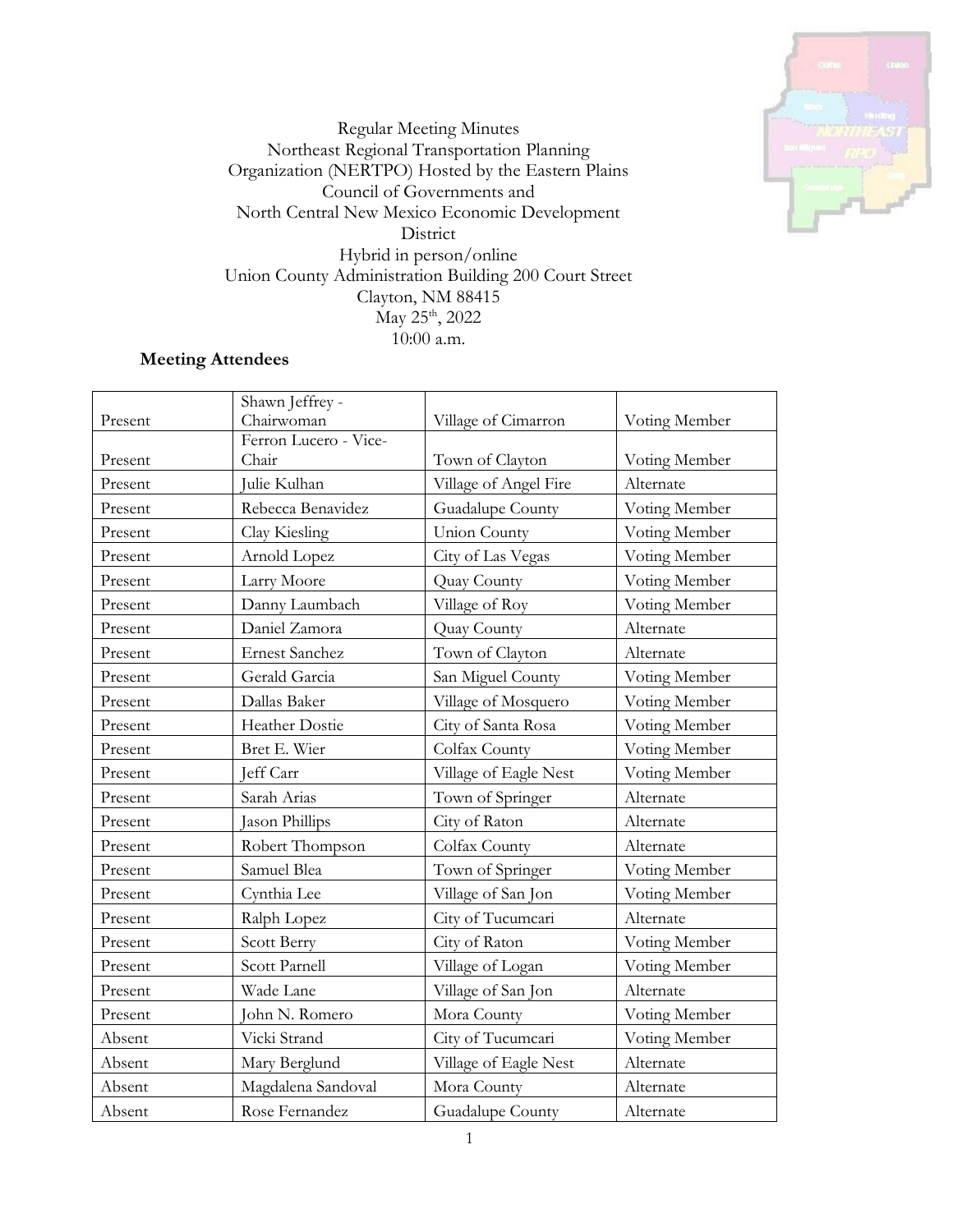

Regular Meeting Minutes Northeast Regional Transportation Planning Organization (NERTPO) Hosted by the Eastern Plains Council of Governments and North Central New Mexico Economic Development District Hybrid in person/online Union County Administration Building 200 Court Street Clayton, NM 88415 May 25<sup>th</sup>, 2022 10:00 a.m.

## **Meeting Attendees**

| Present | Shawn Jeffrey -<br>Chairwoman | Village of Cimarron   | Voting Member |
|---------|-------------------------------|-----------------------|---------------|
|         | Ferron Lucero - Vice-         |                       |               |
| Present | Chair                         | Town of Clayton       | Voting Member |
| Present | Julie Kulhan                  | Village of Angel Fire | Alternate     |
| Present | Rebecca Benavidez             | Guadalupe County      | Voting Member |
| Present | Clay Kiesling                 | <b>Union County</b>   | Voting Member |
| Present | Arnold Lopez                  | City of Las Vegas     | Voting Member |
| Present | Larry Moore                   | Quay County           | Voting Member |
| Present | Danny Laumbach                | Village of Roy        | Voting Member |
| Present | Daniel Zamora                 | Quay County           | Alternate     |
| Present | <b>Ernest Sanchez</b>         | Town of Clayton       | Alternate     |
| Present | Gerald Garcia                 | San Miguel County     | Voting Member |
| Present | Dallas Baker                  | Village of Mosquero   | Voting Member |
| Present | Heather Dostie                | City of Santa Rosa    | Voting Member |
| Present | Bret E. Wier                  | Colfax County         | Voting Member |
| Present | Jeff Carr                     | Village of Eagle Nest | Voting Member |
| Present | Sarah Arias                   | Town of Springer      | Alternate     |
| Present | Jason Phillips                | City of Raton         | Alternate     |
| Present | Robert Thompson               | Colfax County         | Alternate     |
| Present | Samuel Blea                   | Town of Springer      | Voting Member |
| Present | Cynthia Lee                   | Village of San Jon    | Voting Member |
| Present | Ralph Lopez                   | City of Tucumcari     | Alternate     |
| Present | Scott Berry                   | City of Raton         | Voting Member |
| Present | Scott Parnell                 | Village of Logan      | Voting Member |
| Present | Wade Lane                     | Village of San Jon    | Alternate     |
| Present | John N. Romero                | Mora County           | Voting Member |
| Absent  | Vicki Strand                  | City of Tucumcari     | Voting Member |
| Absent  | Mary Berglund                 | Village of Eagle Nest | Alternate     |
| Absent  | Magdalena Sandoval            | Mora County           | Alternate     |
| Absent  | Rose Fernandez                | Guadalupe County      | Alternate     |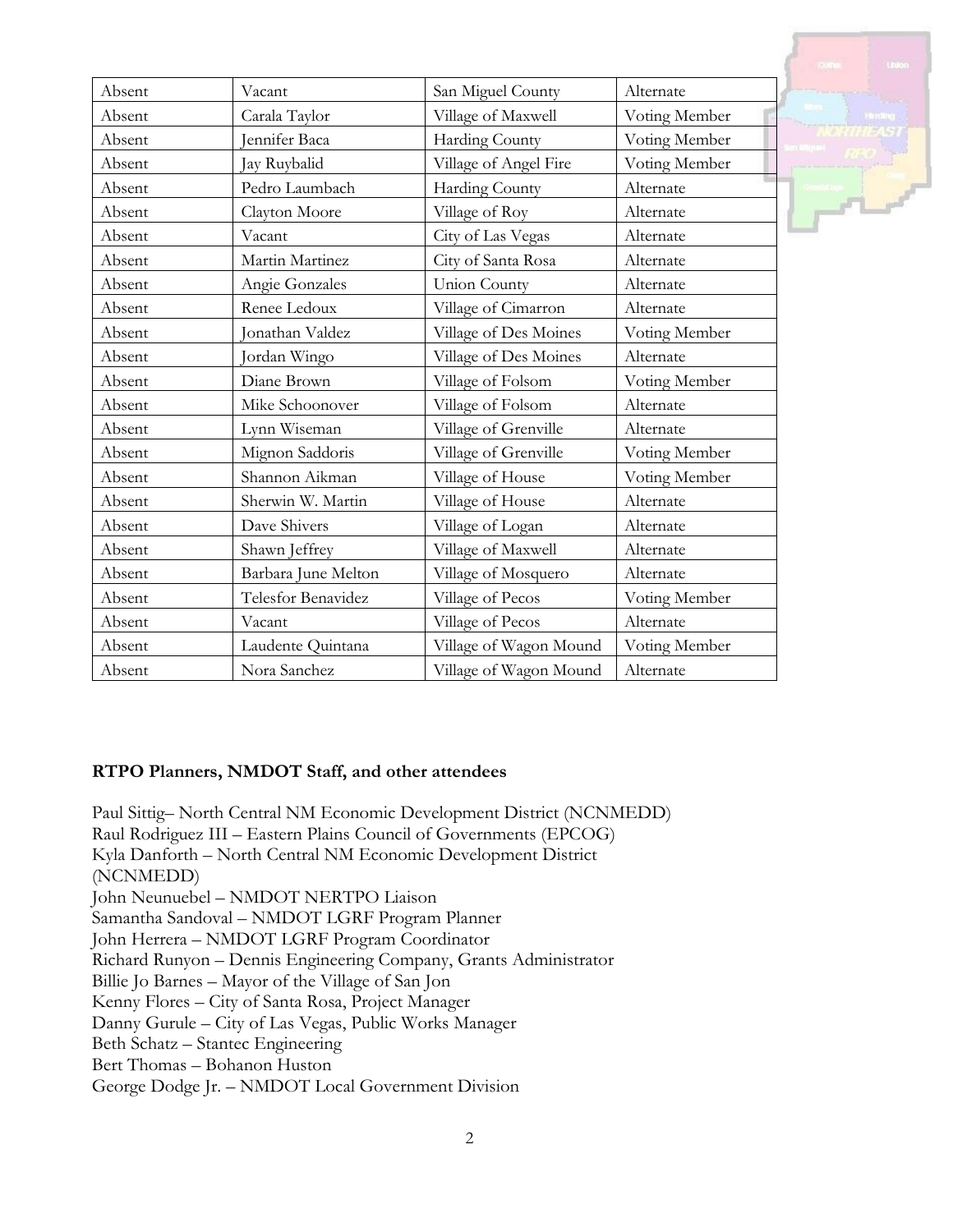| Absent | Vacant              | San Miguel County      | Alternate     |
|--------|---------------------|------------------------|---------------|
| Absent | Carala Taylor       | Village of Maxwell     | Voting Member |
| Absent | ennifer Baca        | Harding County         | Voting Member |
| Absent | Jay Ruybalid        | Village of Angel Fire  | Voting Member |
| Absent | Pedro Laumbach      | Harding County         | Alternate     |
| Absent | Clayton Moore       | Village of Roy         | Alternate     |
| Absent | Vacant              | City of Las Vegas      | Alternate     |
| Absent | Martin Martinez     | City of Santa Rosa     | Alternate     |
| Absent | Angie Gonzales      | <b>Union County</b>    | Alternate     |
| Absent | Renee Ledoux        | Village of Cimarron    | Alternate     |
| Absent | Onathan Valdez      | Village of Des Moines  | Voting Member |
| Absent | Jordan Wingo        | Village of Des Moines  | Alternate     |
| Absent | Diane Brown         | Village of Folsom      | Voting Member |
| Absent | Mike Schoonover     | Village of Folsom      | Alternate     |
| Absent | Lynn Wiseman        | Village of Grenville   | Alternate     |
| Absent | Mignon Saddoris     | Village of Grenville   | Voting Member |
| Absent | Shannon Aikman      | Village of House       | Voting Member |
| Absent | Sherwin W. Martin   | Village of House       | Alternate     |
| Absent | Dave Shivers        | Village of Logan       | Alternate     |
| Absent | Shawn Jeffrey       | Village of Maxwell     | Alternate     |
| Absent | Barbara June Melton | Village of Mosquero    | Alternate     |
| Absent | Telesfor Benavidez  | Village of Pecos       | Voting Member |
| Absent | Vacant              | Village of Pecos       | Alternate     |
| Absent | Laudente Quintana   | Village of Wagon Mound | Voting Member |
| Absent | Nora Sanchez        | Village of Wagon Mound | Alternate     |

#### **RTPO Planners, NMDOT Staff, and other attendees**

Paul Sittig– North Central NM Economic Development District (NCNMEDD) Raul Rodriguez III – Eastern Plains Council of Governments (EPCOG) Kyla Danforth – North Central NM Economic Development District (NCNMEDD) John Neunuebel – NMDOT NERTPO Liaison Samantha Sandoval – NMDOT LGRF Program Planner John Herrera – NMDOT LGRF Program Coordinator Richard Runyon – Dennis Engineering Company, Grants Administrator Billie Jo Barnes – Mayor of the Village of San Jon Kenny Flores – City of Santa Rosa, Project Manager Danny Gurule – City of Las Vegas, Public Works Manager Beth Schatz – Stantec Engineering Bert Thomas – Bohanon Huston George Dodge Jr. – NMDOT Local Government Division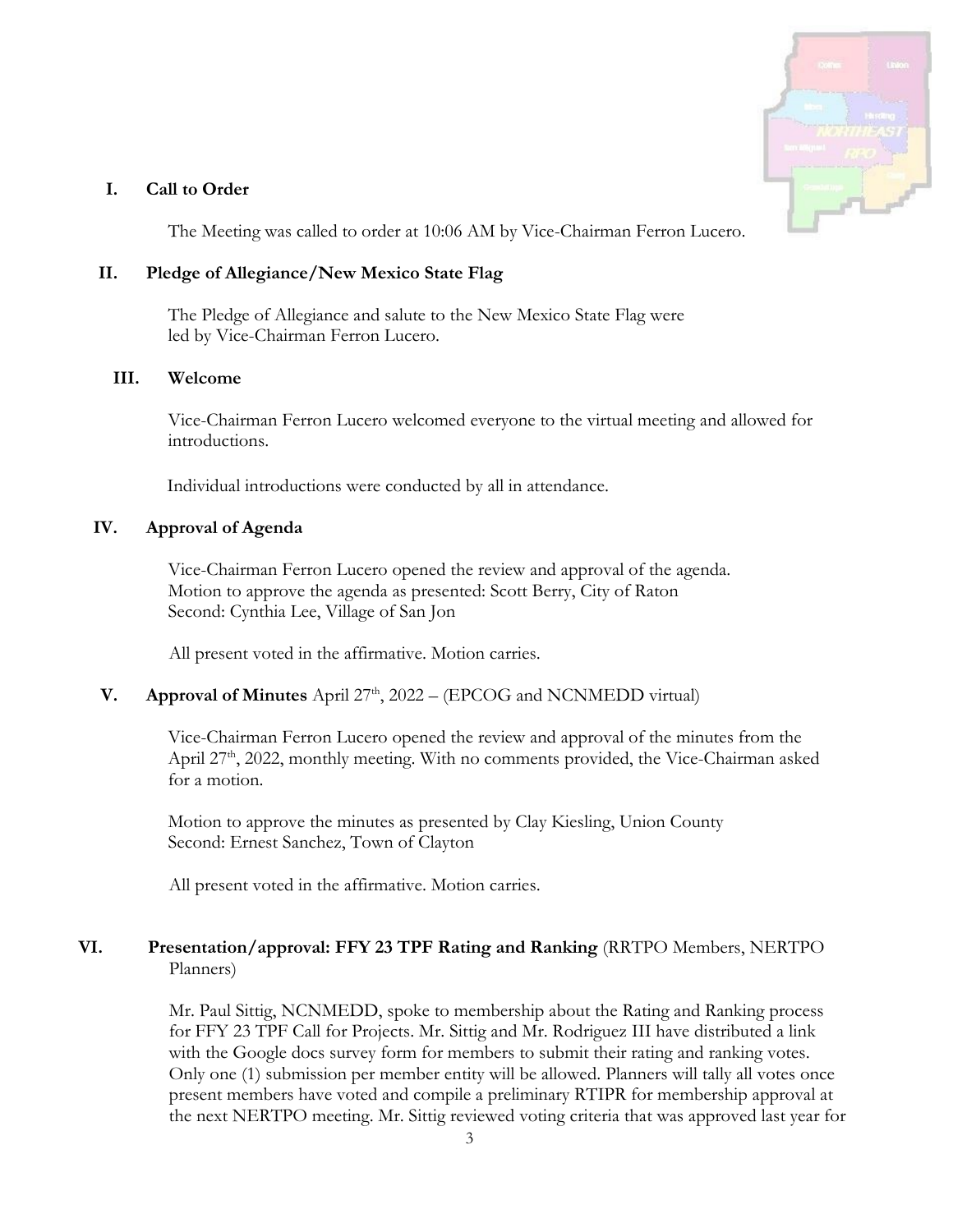

### **I. Call to Order**

The Meeting was called to order at 10:06 AM by Vice-Chairman Ferron Lucero.

### **II. Pledge of Allegiance/New Mexico State Flag**

The Pledge of Allegiance and salute to the New Mexico State Flag were led by Vice-Chairman Ferron Lucero.

#### **III. Welcome**

Vice-Chairman Ferron Lucero welcomed everyone to the virtual meeting and allowed for introductions.

Individual introductions were conducted by all in attendance.

### **IV. Approval of Agenda**

Vice-Chairman Ferron Lucero opened the review and approval of the agenda. Motion to approve the agenda as presented: Scott Berry, City of Raton Second: Cynthia Lee, Village of San Jon

All present voted in the affirmative. Motion carries.

### **V. Approval of Minutes** April  $27<sup>th</sup>$ ,  $2022 - (EPCOG)$  and NCNMEDD virtual)

Vice-Chairman Ferron Lucero opened the review and approval of the minutes from the April 27<sup>th</sup>, 2022, monthly meeting. With no comments provided, the Vice-Chairman asked for a motion.

Motion to approve the minutes as presented by Clay Kiesling, Union County Second: Ernest Sanchez, Town of Clayton

All present voted in the affirmative. Motion carries.

## **VI. Presentation/approval: FFY 23 TPF Rating and Ranking** (RRTPO Members, NERTPO Planners)

Mr. Paul Sittig, NCNMEDD, spoke to membership about the Rating and Ranking process for FFY 23 TPF Call for Projects. Mr. Sittig and Mr. Rodriguez III have distributed a link with the Google docs survey form for members to submit their rating and ranking votes. Only one (1) submission per member entity will be allowed. Planners will tally all votes once present members have voted and compile a preliminary RTIPR for membership approval at the next NERTPO meeting. Mr. Sittig reviewed voting criteria that was approved last year for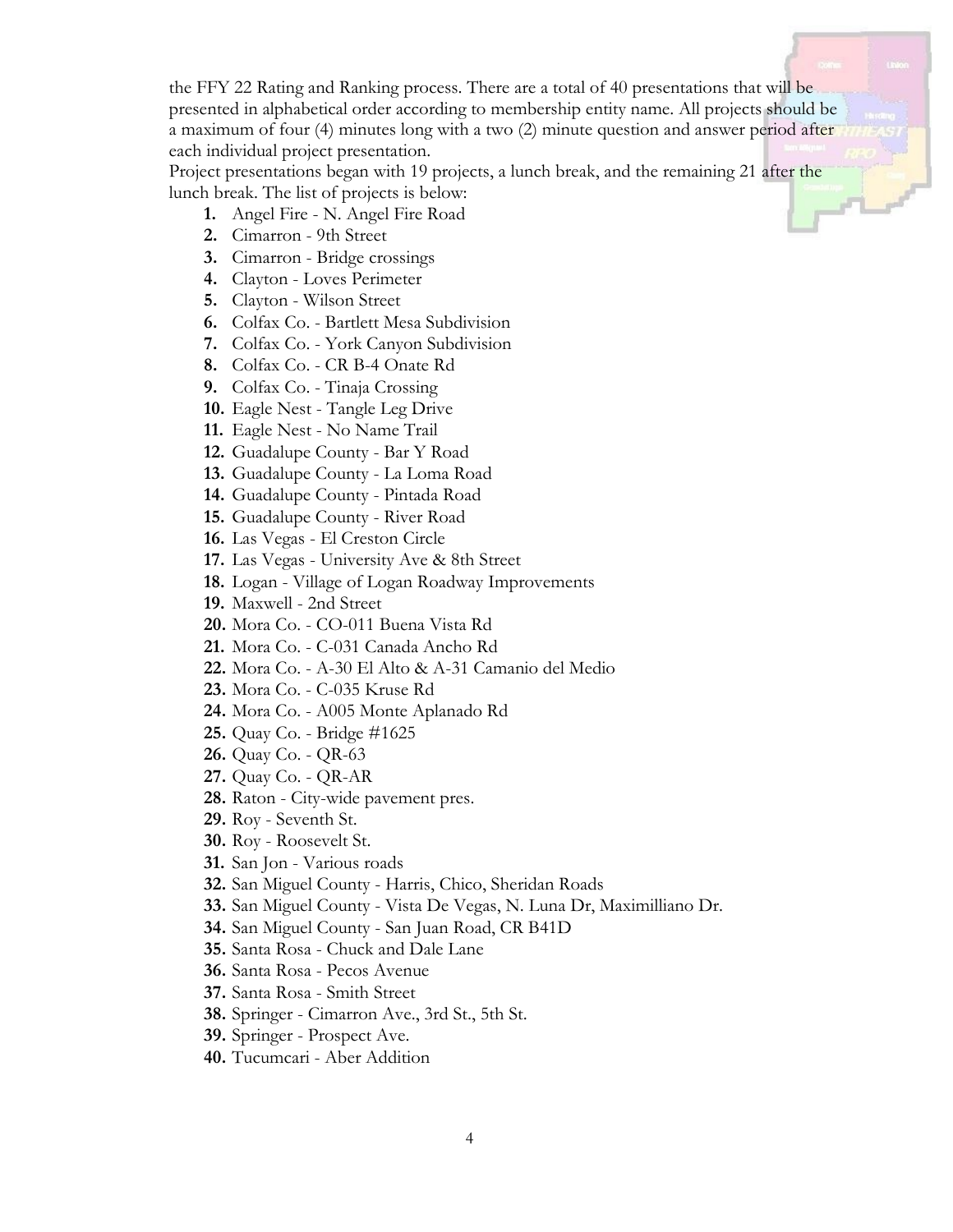the FFY 22 Rating and Ranking process. There are a total of 40 presentations that will be presented in alphabetical order according to membership entity name. All projects should be a maximum of four (4) minutes long with a two (2) minute question and answer period after each individual project presentation.

Project presentations began with 19 projects, a lunch break, and the remaining 21 after the lunch break. The list of projects is below:

- **1.** Angel Fire N. Angel Fire Road
- **2.** Cimarron 9th Street
- **3.** Cimarron Bridge crossings
- **4.** Clayton Loves Perimeter
- **5.** Clayton Wilson Street
- **6.** Colfax Co. Bartlett Mesa Subdivision
- **7.** Colfax Co. York Canyon Subdivision
- **8.** Colfax Co. CR B-4 Onate Rd
- **9.** Colfax Co. Tinaja Crossing
- **10.** Eagle Nest Tangle Leg Drive
- **11.** Eagle Nest No Name Trail
- **12.** Guadalupe County Bar Y Road
- **13.** Guadalupe County La Loma Road
- **14.** Guadalupe County Pintada Road
- **15.** Guadalupe County River Road
- **16.** Las Vegas El Creston Circle
- **17.** Las Vegas University Ave & 8th Street
- **18.** Logan Village of Logan Roadway Improvements
- **19.** Maxwell 2nd Street
- **20.** Mora Co. CO-011 Buena Vista Rd
- **21.** Mora Co. C-031 Canada Ancho Rd
- **22.** Mora Co. A-30 El Alto & A-31 Camanio del Medio
- **23.** Mora Co. C-035 Kruse Rd
- **24.** Mora Co. A005 Monte Aplanado Rd
- **25.** Quay Co. Bridge #1625
- **26.** Quay Co. QR-63
- **27.** Quay Co. QR-AR
- **28.** Raton City-wide pavement pres.
- **29.** Roy Seventh St.
- **30.** Roy Roosevelt St.
- **31.** San Jon Various roads
- **32.** San Miguel County Harris, Chico, Sheridan Roads
- **33.** San Miguel County Vista De Vegas, N. Luna Dr, Maximilliano Dr.
- **34.** San Miguel County San Juan Road, CR B41D
- **35.** Santa Rosa Chuck and Dale Lane
- **36.** Santa Rosa Pecos Avenue
- **37.** Santa Rosa Smith Street
- **38.** Springer Cimarron Ave., 3rd St., 5th St.
- **39.** Springer Prospect Ave.
- **40.** Tucumcari Aber Addition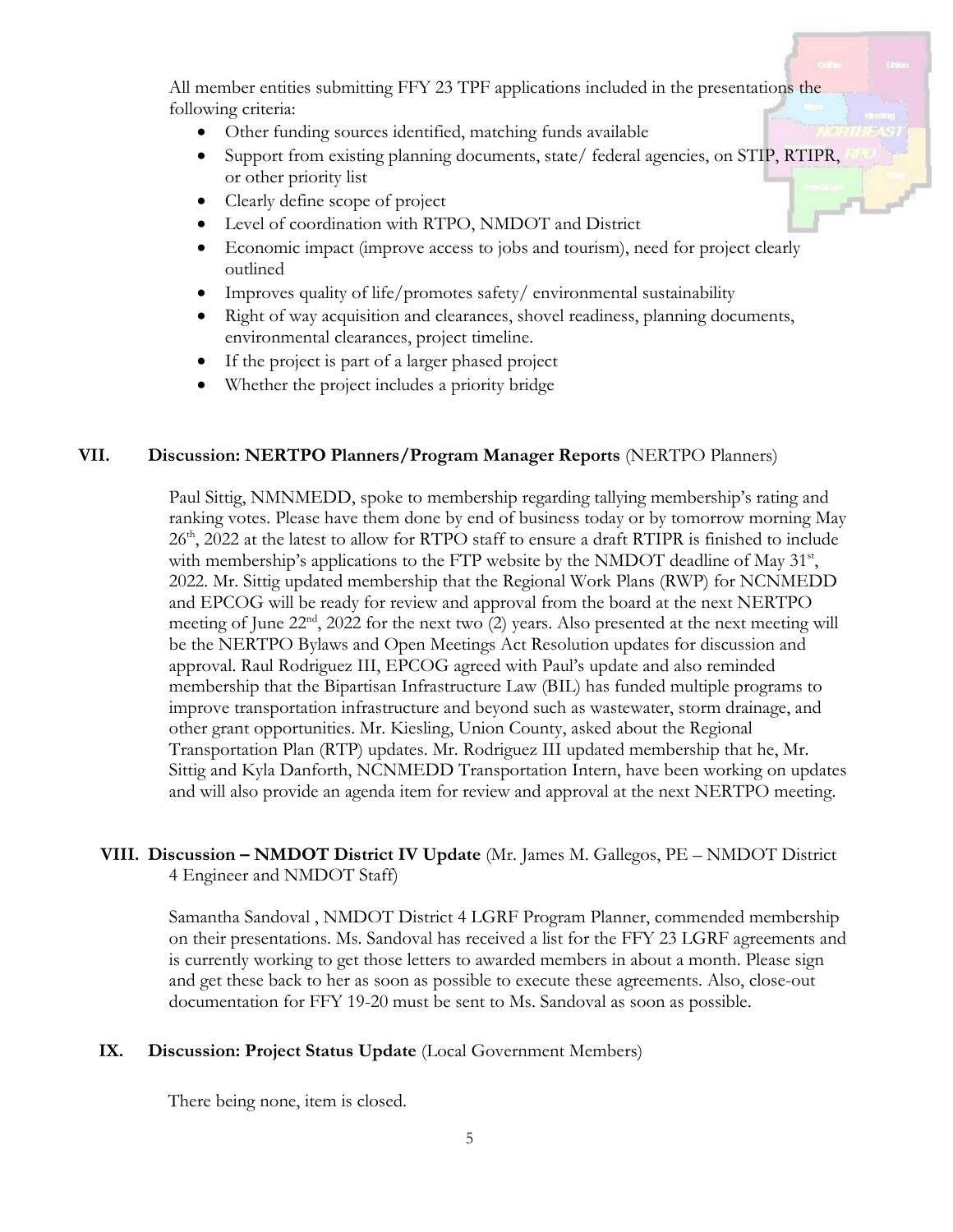All member entities submitting FFY 23 TPF applications included in the presentations the following criteria:

- Other funding sources identified, matching funds available
- Support from existing planning documents, state/federal agencies, on STIP, RTIPR, or other priority list
- Clearly define scope of project
- Level of coordination with RTPO, NMDOT and District
- Economic impact (improve access to jobs and tourism), need for project clearly outlined
- Improves quality of life/promotes safety/ environmental sustainability
- Right of way acquisition and clearances, shovel readiness, planning documents, environmental clearances, project timeline.
- If the project is part of a larger phased project
- Whether the project includes a priority bridge

### **VII. Discussion: NERTPO Planners/Program Manager Reports** (NERTPO Planners)

Paul Sittig, NMNMEDD, spoke to membership regarding tallying membership's rating and ranking votes. Please have them done by end of business today or by tomorrow morning May 26<sup>th</sup>, 2022 at the latest to allow for RTPO staff to ensure a draft RTIPR is finished to include with membership's applications to the FTP website by the NMDOT deadline of May  $31<sup>st</sup>$ , 2022. Mr. Sittig updated membership that the Regional Work Plans (RWP) for NCNMEDD and EPCOG will be ready for review and approval from the board at the next NERTPO meeting of June 22<sup>nd</sup>, 2022 for the next two (2) years. Also presented at the next meeting will be the NERTPO Bylaws and Open Meetings Act Resolution updates for discussion and approval. Raul Rodriguez III, EPCOG agreed with Paul's update and also reminded membership that the Bipartisan Infrastructure Law (BIL) has funded multiple programs to improve transportation infrastructure and beyond such as wastewater, storm drainage, and other grant opportunities. Mr. Kiesling, Union County, asked about the Regional Transportation Plan (RTP) updates. Mr. Rodriguez III updated membership that he, Mr. Sittig and Kyla Danforth, NCNMEDD Transportation Intern, have been working on updates and will also provide an agenda item for review and approval at the next NERTPO meeting.

### **VIII. Discussion – NMDOT District IV Update** (Mr. James M. Gallegos, PE – NMDOT District 4 Engineer and NMDOT Staff)

Samantha Sandoval , NMDOT District 4 LGRF Program Planner, commended membership on their presentations. Ms. Sandoval has received a list for the FFY 23 LGRF agreements and is currently working to get those letters to awarded members in about a month. Please sign and get these back to her as soon as possible to execute these agreements. Also, close-out documentation for FFY 19-20 must be sent to Ms. Sandoval as soon as possible.

### **IX. Discussion: Project Status Update** (Local Government Members)

There being none, item is closed.